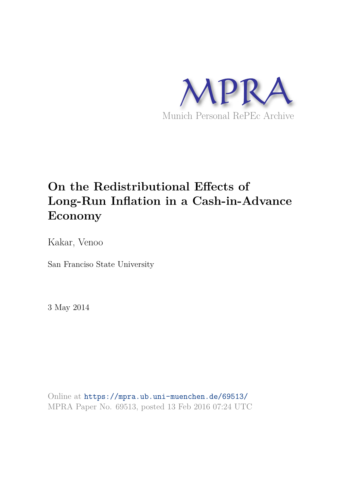

# **On the Redistributional Effects of Long-Run Inflation in a Cash-in-Advance Economy**

Kakar, Venoo

San Franciso State University

3 May 2014

Online at https://mpra.ub.uni-muenchen.de/69513/ MPRA Paper No. 69513, posted 13 Feb 2016 07:24 UTC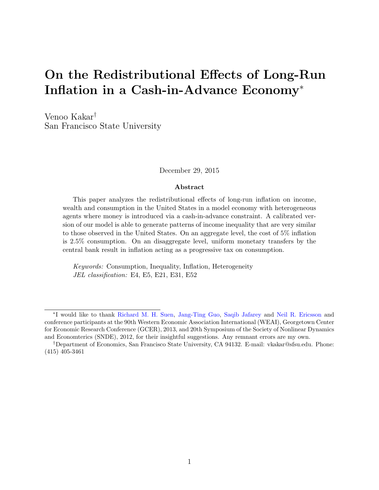# On the Redistributional Effects of Long-Run Inflation in a Cash-in-Advance Economy<sup>∗</sup>

Venoo Kakar† San Francisco State University

December 29, 2015

#### Abstract

This paper analyzes the redistributional effects of long-run inflation on income, wealth and consumption in the United States in a model economy with heterogeneous agents where money is introduced via a cash-in-advance constraint. A calibrated version of our model is able to generate patterns of income inequality that are very similar to those observed in the United States. On an aggregate level, the cost of 5% inflation is 2.5% consumption. On an disaggregate level, uniform monetary transfers by the central bank result in inflation acting as a progressive tax on consumption.

Keywords: Consumption, Inequality, Inflation, Heterogeneity JEL classification: E4, E5, E21, E31, E52

<sup>∗</sup> I would like to thank Richard M. H. Suen, Jang-Ting Guo, Saqib Jafarey and Neil R. Ericsson and conference participants at the 90th Western Economic Association International (WEAI), Georgetown Center for Economic Research Conference (GCER), 2013, and 20th Symposium of the Society of Nonlinear Dynamics and Economterics (SNDE), 2012, for their insightful suggestions. Any remnant errors are my own.

<sup>†</sup>Department of Economics, San Francisco State University, CA 94132. E-mail: vkakar@sfsu.edu. Phone: (415) 405-3461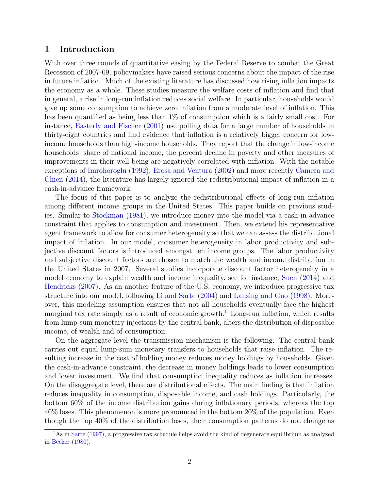#### 1 Introduction

With over three rounds of quantitative easing by the Federal Reserve to combat the Great Recession of 2007-09, policymakers have raised serious concerns about the impact of the rise in future inflation. Much of the existing literature has discussed how rising inflation impacts the economy as a whole. These studies measure the welfare costs of inflation and find that in general, a rise in long-run inflation reduces social welfare. In particular, households would give up some consumption to achieve zero inflation from a moderate level of inflation. This has been quantified as being less than  $1\%$  of consumption which is a fairly small cost. For instance, Easterly and Fischer (2001) use polling data for a large number of households in thirty-eight countries and find evidence that inflation is a relatively bigger concern for lowincome households than high-income households. They report that the change in low-income households' share of national income, the percent decline in poverty and other measures of improvements in their well-being are negatively correlated with inflation. With the notable exceptions of Imrohoroglu (1992), Erosa and Ventura (2002) and more recently Camera and Chien (2014), the literature has largely ignored the redistributional impact of inflation in a cash-in-advance framework.

The focus of this paper is to analyze the redistributional effects of long-run inflation among different income groups in the United States. This paper builds on previous studies. Similar to Stockman (1981), we introduce money into the model via a cash-in-advance constraint that applies to consumption and investment. Then, we extend his representative agent framework to allow for consumer heterogeneity so that we can assess the distributional impact of inflation. In our model, consumer heterogeneity in labor productivity and subjective discount factors is introduced amongst ten income groups. The labor productivity and subjective discount factors are chosen to match the wealth and income distribution in the United States in 2007. Several studies incorporate discount factor heterogeneity in a model economy to explain wealth and income inequality, see for instance, Suen (2014) and Hendricks (2007). As an another feature of the U.S. economy, we introduce progressive tax structure into our model, following Li and Sarte (2004) and Lansing and Guo (1998). Moreover, this modeling assumption ensures that not all households eventually face the highest marginal tax rate simply as a result of economic growth.<sup>1</sup> Long-run inflation, which results from lump-sum monetary injections by the central bank, alters the distribution of disposable income, of wealth and of consumption.

On the aggregate level the transmission mechanism is the following. The central bank carries out equal lump-sum monetary transfers to households that raise inflation. The resulting increase in the cost of holding money reduces money holdings by households. Given the cash-in-advance constraint, the decrease in money holdings leads to lower consumption and lower investment. We find that consumption inequality reduces as inflation increases. On the disaggregate level, there are distributional effects. The main finding is that inflation reduces inequality in consumption, disposable income, and cash holdings. Particularly, the bottom 60% of the income distribution gains during inflationary periods, whereas the top 40% loses. This phenomenon is more pronounced in the bottom 20% of the population. Even though the top 40% of the distribution loses, their consumption patterns do not change as

<sup>&</sup>lt;sup>1</sup>As in Sarte (1997), a progressive tax schedule helps avoid the kind of degenerate equilibrium as analyzed in Becker (1980).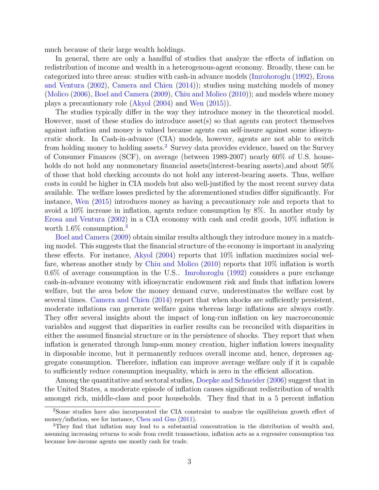much because of their large wealth holdings.

In general, there are only a handful of studies that analyze the effects of inflation on redistribution of income and wealth in a heterogenous-agent economy. Broadly, these can be categorized into three areas: studies with cash-in advance models (Imrohoroglu (1992), Erosa and Ventura (2002), Camera and Chien (2014)); studies using matching models of money (Molico (2006), Boel and Camera (2009), Chiu and Molico (2010)); and models where money plays a precautionary role (Akyol (2004) and Wen (2015)).

The studies typically differ in the way they introduce money in the theoretical model. However, most of these studies do introduce asset(s) so that agents can protect themselves against inflation and money is valued because agents can self-insure against some idiosyncratic shock. In Cash-in-advance (CIA) models, however, agents are not able to switch from holding money to holding assets.<sup>2</sup> Survey data provides evidence, based on the Survey of Consumer Finances (SCF), on average (between 1989-2007) nearly 60% of U.S. households do not hold any nonmonetary financial assets interest-bearing assets), and about 50% of those that hold checking accounts do not hold any interest-bearing assets. Thus, welfare costs in could be higher in CIA models but also well-justified by the most recent survey data available. The welfare losses predicted by the aforementioned studies differ significantly. For instance, Wen (2015) introduces money as having a precautionary role and reports that to avoid a 10% increase in inflation, agents reduce consumption by 8%. In another study by Erosa and Ventura (2002) in a CIA economy with cash and credit goods, 10% inflation is worth  $1.6\%$  consumption.<sup>3</sup>

Boel and Camera (2009) obtain similar results although they introduce money in a matching model. This suggests that the financial structure of the economy is important in analyzing these effects. For instance, Akyol (2004) reports that 10% inflation maximizes social welfare, whereas another study by Chiu and Molico (2010) reports that 10% inflation is worth 0.6% of average consumption in the U.S.. Imrohoroglu (1992) considers a pure exchange cash-in-advance economy with idiosyncratic endowment risk and finds that inflation lowers welfare, but the area below the money demand curve, underestimates the welfare cost by several times. Camera and Chien (2014) report that when shocks are sufficiently persistent, moderate inflations can generate welfare gains whereas large inflations are always costly. They offer several insights about the impact of long-run inflation on key macroeconomic variables and suggest that disparities in earlier results can be reconciled with disparities in either the assumed financial structure or in the persistence of shocks. They report that when inflation is generated through lump-sum money creation, higher inflation lowers inequality in disposable income, but it permanently reduces overall income and, hence, depresses aggregate consumption. Therefore, inflation can improve average welfare only if it is capable to sufficiently reduce consumption inequality, which is zero in the efficient allocation.

Among the quantitative and sectoral studies, Doepke and Schneider (2006) suggest that in the United States, a moderate episode of inflation causes significant redistribution of wealth amongst rich, middle-class and poor households. They find that in a 5 percent inflation

<sup>2</sup>Some studies have also incorporated the CIA constraint to analyze the equilibrium growth effect of money/inflation, see for instance, Chen and Guo (2011).

<sup>3</sup>They find that inflation may lead to a substantial concentration in the distribution of wealth and, assuming increasing returns to scale from credit transactions, inflation acts as a regressive consumption tax because low-income agents use mostly cash for trade.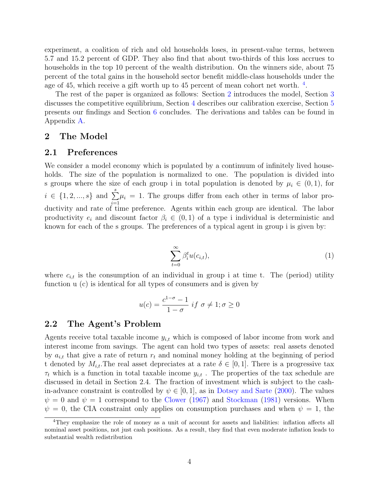experiment, a coalition of rich and old households loses, in present-value terms, between 5.7 and 15.2 percent of GDP. They also find that about two-thirds of this loss accrues to households in the top 10 percent of the wealth distribution. On the winners side, about 75 percent of the total gains in the household sector benefit middle-class households under the age of 45, which receive a gift worth up to 45 percent of mean cohort net worth. <sup>4</sup>.

The rest of the paper is organized as follows: Section 2 introduces the model, Section 3 discusses the competitive equilibrium, Section 4 describes our calibration exercise, Section 5 presents our findings and Section 6 concludes. The derivations and tables can be found in Appendix A.

#### 2 The Model

#### 2.1 Preferences

We consider a model economy which is populated by a continuum of infinitely lived households. The size of the population is normalized to one. The population is divided into s groups where the size of each group i in total population is denoted by  $\mu_i \in (0,1)$ , for  $i \in \{1, 2, ..., s\}$  and  $\sum_{n=1}^{s}$  $i=1$  $\mu_i = 1$ . The groups differ from each other in terms of labor productivity and rate of time preference. Agents within each group are identical. The labor productivity  $e_i$  and discount factor  $\beta_i \in (0,1)$  of a type i individual is deterministic and known for each of the s groups. The preferences of a typical agent in group i is given by:

$$
\sum_{t=0}^{\infty} \beta_i^t u(c_{i,t}), \tag{1}
$$

where  $c_{i,t}$  is the consumption of an individual in group i at time t. The (period) utility function u (c) is identical for all types of consumers and is given by

$$
u(c) = \frac{c^{1-\sigma} - 1}{1 - \sigma} \text{ if } \sigma \neq 1; \sigma \ge 0
$$

#### 2.2 The Agent's Problem

Agents receive total taxable income  $y_{i,t}$  which is composed of labor income from work and interest income from savings. The agent can hold two types of assets: real assets denoted by  $a_{i,t}$  that give a rate of return  $r_t$  and nominal money holding at the beginning of period t denoted by  $M_{i,t}$ . The real asset depreciates at a rate  $\delta \in [0,1]$ . There is a progressive tax  $\tau_t$  which is a function in total taxable income  $y_{i,t}$ . The properties of the tax schedule are discussed in detail in Section 2.4. The fraction of investment which is subject to the cashin-advance constraint is controlled by  $\psi \in [0, 1]$ , as in Dotsey and Sarte (2000). The values  $\psi = 0$  and  $\psi = 1$  correspond to the Clower (1967) and Stockman (1981) versions. When  $\psi = 0$ , the CIA constraint only applies on consumption purchases and when  $\psi = 1$ , the

<sup>4</sup>They emphasize the role of money as a unit of account for assets and liabilities: inflation affects all nominal asset positions, not just cash positions. As a result, they find that even moderate inflation leads to substantial wealth redistribution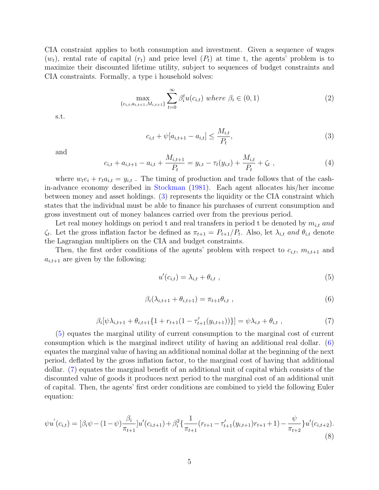CIA constraint applies to both consumption and investment. Given a sequence of wages  $(w_t)$ , rental rate of capital  $(r_t)$  and price level  $(P_t)$  at time t, the agents' problem is to maximize their discounted lifetime utility, subject to sequences of budget constraints and CIA constraints. Formally, a type i household solves:

$$
\max_{\{c_{i,t}, a_{i,t+1}, M_{i,t+1}\}} \sum_{t=0}^{\infty} \beta_i^t u(c_{i,t}) \text{ where } \beta_i \in (0,1)
$$
 (2)

s.t.

$$
c_{i,t} + \psi[a_{i,t+1} - a_{i,t}] \le \frac{M_{i,t}}{P_t},
$$
\n(3)

and

$$
c_{i,t} + a_{i,t+1} - a_{i,t} + \frac{M_{i,t+1}}{P_t} = y_{i,t} - \tau_t(y_{i,t}) + \frac{M_{i,t}}{P_t} + \zeta_t,
$$
\n<sup>(4)</sup>

where  $w_t e_i + r_t a_{i,t} = y_{i,t}$ . The timing of production and trade follows that of the cashin-advance economy described in Stockman (1981). Each agent allocates his/her income between money and asset holdings. (3) represents the liquidity or the CIA constraint which states that the individual must be able to finance his purchases of current consumption and gross investment out of money balances carried over from the previous period.

Let real money holdings on period t and real transfers in period t be denoted by  $m_{i,t}$  and  $\zeta_t$ . Let the gross inflation factor be defined as  $\pi_{t+1} = P_{t+1}/P_t$ . Also, let  $\lambda_{i,t}$  and  $\theta_{i,t}$  denote the Lagrangian multipliers on the CIA and budget constraints.

Then, the first order conditions of the agents' problem with respect to  $c_{i,t}$ ,  $m_{i,t+1}$  and  $a_{i,t+1}$  are given by the following:

$$
u'(c_{i,t}) = \lambda_{i,t} + \theta_{i,t} \tag{5}
$$

$$
\beta_i(\lambda_{i,t+1} + \theta_{i,t+1}) = \pi_{t+1}\theta_{i,t} \tag{6}
$$

$$
\beta_i[\psi \lambda_{i,t+1} + \theta_{i,t+1} \{ 1 + r_{t+1} (1 - \tau'_{t+1}(y_{i,t+1})) \}] = \psi \lambda_{i,t} + \theta_{i,t} , \qquad (7)
$$

(5) equates the marginal utility of current consumption to the marginal cost of current consumption which is the marginal indirect utility of having an additional real dollar. (6) equates the marginal value of having an additional nominal dollar at the beginning of the next period, deflated by the gross inflation factor, to the marginal cost of having that additional dollar. (7) equates the marginal benefit of an additional unit of capital which consists of the discounted value of goods it produces next period to the marginal cost of an additional unit of capital. Then, the agents' first order conditions are combined to yield the following Euler equation:

$$
\psi u^{'}(c_{i,t}) = [\beta_i \psi - (1 - \psi) \frac{\beta_i}{\pi_{t+1}}] u^{'}(c_{i,t+1}) + \beta_i^2 \left\{ \frac{1}{\pi_{t+1}} (r_{t+1} - \tau'_{t+1} (y_{i,t+1}) r_{t+1} + 1) - \frac{\psi}{\pi_{t+2}} \right\} u^{'}(c_{i,t+2}).
$$
\n(8)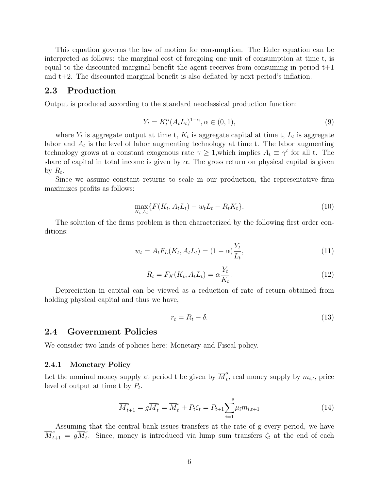This equation governs the law of motion for consumption. The Euler equation can be interpreted as follows: the marginal cost of foregoing one unit of consumption at time t, is equal to the discounted marginal benefit the agent receives from consuming in period  $t+1$ and t+2. The discounted marginal benefit is also deflated by next period's inflation.

#### 2.3 Production

Output is produced according to the standard neoclassical production function:

$$
Y_t = K_t^{\alpha} (A_t L_t)^{1-\alpha}, \alpha \in (0, 1), \tag{9}
$$

where  $Y_t$  is aggregate output at time t,  $K_t$  is aggregate capital at time t,  $L_t$  is aggregate labor and  $A_t$  is the level of labor augmenting technology at time t. The labor augmenting technology grows at a constant exogenous rate  $\gamma \geq 1$ , which implies  $A_t \equiv \gamma^t$  for all t. The share of capital in total income is given by  $\alpha$ . The gross return on physical capital is given by  $R_t$ .

Since we assume constant returns to scale in our production, the representative firm maximizes profits as follows:

$$
\max_{K_t, L_t} \{ F(K_t, A_t L_t) - w_t L_t - R_t K_t \}.
$$
\n(10)

The solution of the firms problem is then characterized by the following first order conditions:

$$
w_t = A_t F_L(K_t, A_t L_t) = (1 - \alpha) \frac{Y_t}{L_t},
$$
\n(11)

$$
R_t = F_K(K_t, A_t L_t) = \alpha \frac{Y_t}{K_t}.
$$
\n
$$
(12)
$$

Depreciation in capital can be viewed as a reduction of rate of return obtained from holding physical capital and thus we have,

$$
r_t = R_t - \delta. \tag{13}
$$

#### 2.4 Government Policies

We consider two kinds of policies here: Monetary and Fiscal policy.

#### 2.4.1 Monetary Policy

Let the nominal money supply at period t be given by  $\overline{M}_t^s$  $t<sub>t</sub>$ , real money supply by  $m_{i,t}$ , price level of output at time t by  $P_t$ .

$$
\overline{M}_{t+1}^s = g \overline{M}_t^s = \overline{M}_t^s + P_t \zeta_t = P_{t+1} \sum_{i=1}^s \mu_i m_{i,t+1}
$$
\n(14)

Assuming that the central bank issues transfers at the rate of g every period, we have  $\overline{M}^s_{t+1} \,=\, g\overline{M}^s_t$  $t_t$ . Since, money is introduced via lump sum transfers  $\zeta_t$  at the end of each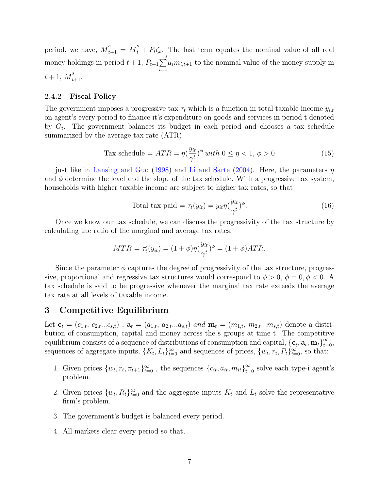period, we have,  $\overline{M}_{t+1}^s = \overline{M}_t^s + P_t \zeta_t$ . The last term equates the nominal value of all real money holdings in period  $t + 1$ ,  $P_{t+1} \sum_{s=1}^{s}$  $i=1$  $\mu_i m_{i,t+1}$  to the nominal value of the money supply in  $t+1, \overline{M}_{t+1}^s$ .

#### 2.4.2 Fiscal Policy

The government imposes a progressive tax  $\tau_t$  which is a function in total taxable income  $y_{i,t}$ on agent's every period to finance it's expenditure on goods and services in period t denoted by  $G_t$ . The government balances its budget in each period and chooses a tax schedule summarized by the average tax rate (ATR)

$$
\text{Tax schedule} = ATR = \eta \left(\frac{y_{it}}{\gamma t}\right)^{\phi} \text{ with } 0 \le \eta < 1, \ \phi > 0 \tag{15}
$$

just like in Lansing and Guo (1998) and Li and Sarte (2004). Here, the parameters  $\eta$ and  $\phi$  determine the level and the slope of the tax schedule. With a progressive tax system, households with higher taxable income are subject to higher tax rates, so that

Total tax paid = 
$$
\tau_t(y_{it}) = y_{it} \eta(\frac{y_{it}}{\gamma^t})^{\phi}
$$
. (16)

Once we know our tax schedule, we can discuss the progressivity of the tax structure by calculating the ratio of the marginal and average tax rates.

$$
MTR = \tau'_t(y_{it}) = (1+\phi)\eta(\frac{y_{it}}{\gamma^t})^{\phi} = (1+\phi)ATR.
$$

Since the parameter  $\phi$  captures the degree of progressivity of the tax structure, progressive, proportional and regressive tax structures would correspond to  $\phi > 0$ ,  $\phi = 0$ ,  $\phi < 0$ . tax schedule is said to be progressive whenever the marginal tax rate exceeds the average tax rate at all levels of taxable income.

#### 3 Competitive Equilibrium

Let  $\mathbf{c}_t = (c_{1,t}, c_{2,t}...c_{s,t})$ ,  $\mathbf{a}_t = (a_{1,t}, a_{2,t}...a_{s,t})$  and  $\mathbf{m}_t = (m_{1,t}, m_{2,t}...m_{s,t})$  denote a distribution of consumption, capital and money across the s groups at time t. The competitive equilibrium consists of a sequence of distributions of consumption and capital,  $\{\mathbf{c}_t, \mathbf{a}_t, \mathbf{m}_t\}_{t=0}^{\infty}$ sequences of aggregate inputs,  $\{K_t, L_t\}_{t=0}^{\infty}$  and sequences of prices,  $\{w_t, r_t, P_t\}_{t=0}^{\infty}$ , so that:

- 1. Given prices  $\{w_t, r_t, \pi_{t+1}\}_{t=0}^{\infty}$ , the sequences  $\{c_{it}, a_{it}, m_{it}\}_{t=0}^{\infty}$  solve each type-i agent's problem.
- 2. Given prices  $\{w_t, R_t\}_{t=0}^{\infty}$  and the aggregate inputs  $K_t$  and  $L_t$  solve the representative firm's problem.
- 3. The government's budget is balanced every period.
- 4. All markets clear every period so that,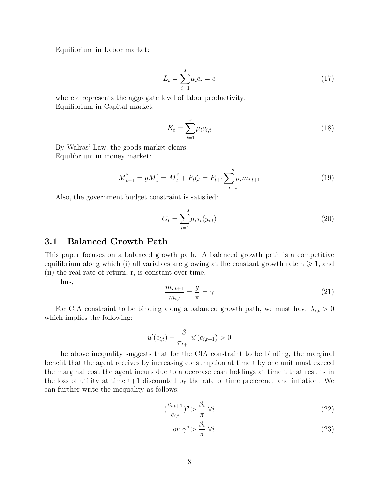Equilibrium in Labor market:

$$
L_t = \sum_{i=1}^{s} \mu_i e_i = \overline{e} \tag{17}
$$

where  $\bar{e}$  represents the aggregate level of labor productivity. Equilibrium in Capital market:

$$
K_t = \sum_{i=1}^{s} \mu_i a_{i,t}
$$
 (18)

By Walras' Law, the goods market clears. Equilibrium in money market:

$$
\overline{M}_{t+1}^s = g \overline{M}_t^s = \overline{M}_t^s + P_t \zeta_t = P_{t+1} \sum_{i=1}^s \mu_i m_{i,t+1}
$$
\n(19)

Also, the government budget constraint is satisfied:

$$
G_t = \sum_{i=1}^s \mu_i \tau_t(y_{i,t})
$$
\n(20)

#### 3.1 Balanced Growth Path

This paper focuses on a balanced growth path. A balanced growth path is a competitive equilibrium along which (i) all variables are growing at the constant growth rate  $\gamma \geq 1$ , and (ii) the real rate of return, r, is constant over time.

Thus,

$$
\frac{m_{i,t+1}}{m_{i,t}} = \frac{g}{\pi} = \gamma \tag{21}
$$

For CIA constraint to be binding along a balanced growth path, we must have  $\lambda_{i,t} > 0$ which implies the following:

$$
u'(c_{i,t}) - \frac{\beta}{\pi_{t+1}} u'(c_{i,t+1}) > 0
$$

The above inequality suggests that for the CIA constraint to be binding, the marginal benefit that the agent receives by increasing consumption at time t by one unit must exceed the marginal cost the agent incurs due to a decrease cash holdings at time t that results in the loss of utility at time t+1 discounted by the rate of time preference and inflation. We can further write the inequality as follows:

$$
\left(\frac{c_{i,t+1}}{c_{i,t}}\right)^{\sigma} > \frac{\beta_i}{\pi} \,\forall i \tag{22}
$$

$$
or \ \gamma^{\sigma} > \frac{\beta_i}{\pi} \ \forall i \tag{23}
$$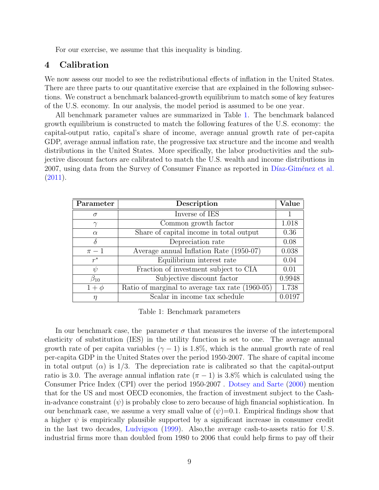For our exercise, we assume that this inequality is binding.

#### 4 Calibration

We now assess our model to see the redistributional effects of inflation in the United States. There are three parts to our quantitative exercise that are explained in the following subsections. We construct a benchmark balanced-growth equilibrium to match some of key features of the U.S. economy. In our analysis, the model period is assumed to be one year.

All benchmark parameter values are summarized in Table 1. The benchmark balanced growth equilibrium is constructed to match the following features of the U.S. economy: the capital-output ratio, capital's share of income, average annual growth rate of per-capita GDP, average annual inflation rate, the progressive tax structure and the income and wealth distributions in the United States. More specifically, the labor productivities and the subjective discount factors are calibrated to match the U.S. wealth and income distributions in 2007, using data from the Survey of Consumer Finance as reported in Díaz-Giménez et al.  $(2011).$ 

| Parameter    | Description                                     | Value  |
|--------------|-------------------------------------------------|--------|
| $\sigma$     | Inverse of IES                                  |        |
|              | Common growth factor                            | 1.018  |
| $\alpha$     | Share of capital income in total output         | 0.36   |
| $\delta$     | Depreciation rate                               | 0.08   |
| $\pi-1$      | Average annual Inflation Rate (1950-07)         | 0.038  |
| $r^*$        | Equilibrium interest rate                       | 0.04   |
| V            | Fraction of investment subject to CIA           | 0.01   |
| $\beta_{10}$ | Subjective discount factor                      | 0.9948 |
| $1+\phi$     | Ratio of marginal to average tax rate (1960-05) | 1.738  |
| $\eta$       | Scalar in income tax schedule                   | 0.0197 |

Table 1: Benchmark parameters

In our benchmark case, the parameter  $\sigma$  that measures the inverse of the intertemporal elasticity of substitution (IES) in the utility function is set to one. The average annual growth rate of per capita variables  $(\gamma - 1)$  is 1.8%, which is the annual growth rate of real per-capita GDP in the United States over the period 1950-2007. The share of capital income in total output ( $\alpha$ ) is 1/3. The depreciation rate is calibrated so that the capital-output ratio is 3.0. The average annual inflation rate  $(\pi - 1)$  is 3.8% which is calculated using the Consumer Price Index (CPI) over the period 1950-2007 . Dotsey and Sarte (2000) mention that for the US and most OECD economies, the fraction of investment subject to the Cashin-advance constraint  $(\psi)$  is probably close to zero because of high financial sophistication. In our benchmark case, we assume a very small value of  $(\psi)=0.1$ . Empirical findings show that a higher  $\psi$  is empirically plausible supported by a significant increase in consumer credit in the last two decades, Ludvigson (1999). Also,the average cash-to-assets ratio for U.S. industrial firms more than doubled from 1980 to 2006 that could help firms to pay off their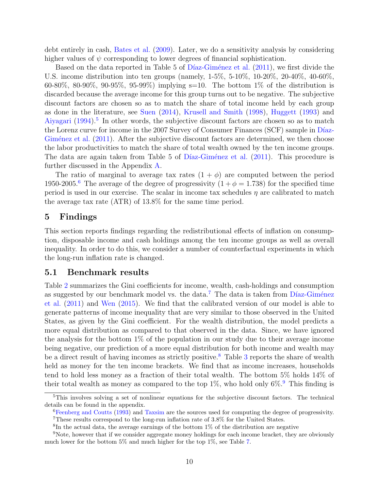debt entirely in cash, Bates et al. (2009). Later, we do a sensitivity analysis by considering higher values of  $\psi$  corresponding to lower degrees of financial sophistication.

Based on the data reported in Table 5 of Díaz-Giménez et al. (2011), we first divide the U.S. income distribution into ten groups (namely, 1-5%, 5-10%, 10-20%, 20-40%, 40-60%, 60-80%, 80-90%, 90-95%, 95-99%) implying s=10. The bottom  $1\%$  of the distribution is discarded because the average income for this group turns out to be negative. The subjective discount factors are chosen so as to match the share of total income held by each group as done in the literature, see Suen (2014), Krusell and Smith (1998), Huggett (1993) and Aiyagari  $(1994)$ <sup>5</sup> In other words, the subjective discount factors are chosen so as to match the Lorenz curve for income in the 2007 Survey of Consumer Finances (SCF) sample in Díaz-Giménez et al. (2011). After the subjective discount factors are determined, we then choose the labor productivities to match the share of total wealth owned by the ten income groups. The data are again taken from Table 5 of Díaz-Giménez et al.  $(2011)$ . This procedure is further discussed in the Appendix A.

The ratio of marginal to average tax rates  $(1 + \phi)$  are computed between the period 1950-2005.<sup>6</sup> The average of the degree of progressivity  $(1 + \phi = 1.738)$  for the specified time period is used in our exercise. The scalar in income tax schedules  $\eta$  are calibrated to match the average tax rate (ATR) of 13.8% for the same time period.

#### 5 Findings

This section reports findings regarding the redistributional effects of inflation on consumption, disposable income and cash holdings among the ten income groups as well as overall inequality. In order to do this, we consider a number of counterfactual experiments in which the long-run inflation rate is changed.

#### 5.1 Benchmark results

Table 2 summarizes the Gini coefficients for income, wealth, cash-holdings and consumption as suggested by our benchmark model vs. the data.<sup>7</sup> The data is taken from  $\overline{\text{Díaz-Giménez}}$ et al. (2011) and Wen (2015). We find that the calibrated version of our model is able to generate patterns of income inequality that are very similar to those observed in the United States, as given by the Gini coefficient. For the wealth distribution, the model predicts a more equal distribution as compared to that observed in the data. Since, we have ignored the analysis for the bottom 1% of the population in our study due to their average income being negative, our prediction of a more equal distribution for both income and wealth may be a direct result of having incomes as strictly positive.<sup>8</sup> Table 3 reports the share of wealth held as money for the ten income brackets. We find that as income increases, households tend to hold less money as a fraction of their total wealth. The bottom 5% holds 14% of their total wealth as money as compared to the top 1%, who hold only  $6\%$ <sup>9</sup>. This finding is

<sup>5</sup>This involves solving a set of nonlinear equations for the subjective discount factors. The technical details can be found in the appendix.

<sup>6</sup>Feenberg and Coutts (1993) and Taxsim are the sources used for computing the degree of progressivity. <sup>7</sup>These results correspond to the long-run inflation rate of 3.8% for the United States.

<sup>&</sup>lt;sup>8</sup>In the actual data, the average earnings of the bottom 1% of the distribution are negative

<sup>9</sup>Note, however that if we consider aggregate money holdings for each income bracket, they are obviously much lower for the bottom 5% and much higher for the top 1%, see Table 7.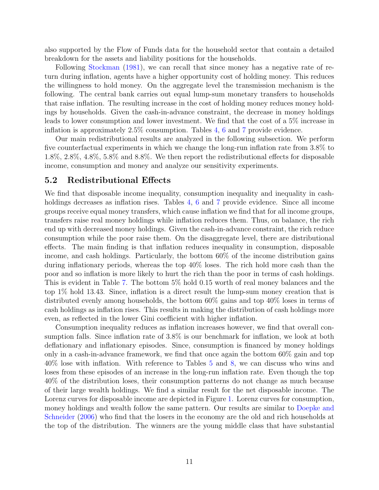also supported by the Flow of Funds data for the household sector that contain a detailed breakdown for the assets and liability positions for the households.

Following Stockman (1981), we can recall that since money has a negative rate of return during inflation, agents have a higher opportunity cost of holding money. This reduces the willingness to hold money. On the aggregate level the transmission mechanism is the following. The central bank carries out equal lump-sum monetary transfers to households that raise inflation. The resulting increase in the cost of holding money reduces money holdings by households. Given the cash-in-advance constraint, the decrease in money holdings leads to lower consumption and lower investment. We find that the cost of a 5% increase in inflation is approximately 2.5% consumption. Tables 4, 6 and 7 provide evidence.

Our main redistributional results are analyzed in the following subsection. We perform five counterfactual experiments in which we change the long-run inflation rate from 3.8% to 1.8%, 2.8%, 4.8%, 5.8% and 8.8%. We then report the redistributional effects for disposable income, consumption and money and analyze our sensitivity experiments.

#### 5.2 Redistributional Effects

We find that disposable income inequality, consumption inequality and inequality in cashholdings decreases as inflation rises. Tables 4, 6 and 7 provide evidence. Since all income groups receive equal money transfers, which cause inflation we find that for all income groups, transfers raise real money holdings while inflation reduces them. Thus, on balance, the rich end up with decreased money holdings. Given the cash-in-advance constraint, the rich reduce consumption while the poor raise them. On the disaggregate level, there are distributional effects. The main finding is that inflation reduces inequality in consumption, disposable income, and cash holdings. Particularly, the bottom 60% of the income distribution gains during inflationary periods, whereas the top 40% loses. The rich hold more cash than the poor and so inflation is more likely to hurt the rich than the poor in terms of cash holdings. This is evident in Table 7. The bottom 5% hold 0.15 worth of real money balances and the top 1% hold 13.43. Since, inflation is a direct result the lump-sum money creation that is distributed evenly among households, the bottom 60% gains and top 40% loses in terms of cash holdings as inflation rises. This results in making the distribution of cash holdings more even, as reflected in the lower Gini coefficient with higher inflation.

Consumption inequality reduces as inflation increases however, we find that overall consumption falls. Since inflation rate of 3.8% is our benchmark for inflation, we look at both deflationary and inflationary episodes. Since, consumption is financed by money holdings only in a cash-in-advance framework, we find that once again the bottom 60% gain and top 40% lose with inflation. With reference to Tables 5 and 8, we can discuss who wins and loses from these episodes of an increase in the long-run inflation rate. Even though the top 40% of the distribution loses, their consumption patterns do not change as much because of their large wealth holdings. We find a similar result for the net disposable income. The Lorenz curves for disposable income are depicted in Figure 1. Lorenz curves for consumption, money holdings and wealth follow the same pattern. Our results are similar to Doepke and Schneider (2006) who find that the losers in the economy are the old and rich households at the top of the distribution. The winners are the young middle class that have substantial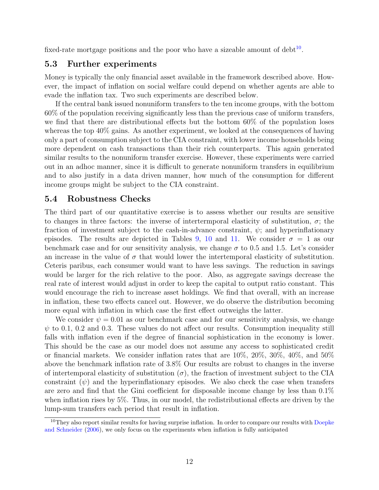fixed-rate mortgage positions and the poor who have a sizeable amount of  $debt^{10}$ .

### 5.3 Further experiments

Money is typically the only financial asset available in the framework described above. However, the impact of inflation on social welfare could depend on whether agents are able to evade the inflation tax. Two such experiments are described below.

If the central bank issued nonuniform transfers to the ten income groups, with the bottom 60% of the population receiving significantly less than the previous case of uniform transfers, we find that there are distributional effects but the bottom 60% of the population loses whereas the top 40% gains. As another experiment, we looked at the consequences of having only a part of consumption subject to the CIA constraint, with lower income households being more dependent on cash transactions than their rich counterparts. This again generated similar results to the nonuniform transfer exercise. However, these experiments were carried out in an adhoc manner, since it is difficult to generate nonuniform transfers in equilibrium and to also justify in a data driven manner, how much of the consumption for different income groups might be subject to the CIA constraint.

#### 5.4 Robustness Checks

The third part of our quantitative exercise is to assess whether our results are sensitive to changes in three factors: the inverse of intertermporal elasticity of substitution,  $\sigma$ ; the fraction of investment subject to the cash-in-advance constraint,  $\psi$ ; and hyperinflationary episodes. The results are depicted in Tables 9, 10 and 11. We consider  $\sigma = 1$  as our benchmark case and for our sensitivity analysis, we change  $\sigma$  to 0.5 and 1.5. Let's consider an increase in the value of  $\sigma$  that would lower the intertemporal elasticity of substitution. Ceteris paribus, each consumer would want to have less savings. The reduction in savings would be larger for the rich relative to the poor. Also, as aggregate savings decrease the real rate of interest would adjust in order to keep the capital to output ratio constant. This would encourage the rich to increase asset holdings. We find that overall, with an increase in inflation, these two effects cancel out. However, we do observe the distribution becoming more equal with inflation in which case the first effect outweighs the latter.

We consider  $\psi = 0.01$  as our benchmark case and for our sensitivity analysis, we change  $\psi$  to 0.1, 0.2 and 0.3. These values do not affect our results. Consumption inequality still falls with inflation even if the degree of financial sophistication in the economy is lower. This should be the case as our model does not assume any access to sophisticated credit or financial markets. We consider inflation rates that are 10%, 20%, 30%, 40%, and 50% above the benchmark inflation rate of 3.8% Our results are robust to changes in the inverse of intertemporal elasticity of substitution  $(\sigma)$ , the fraction of investment subject to the CIA constraint  $(\psi)$  and the hyperinflationary episodes. We also check the case when transfers are zero and find that the Gini coefficient for disposable income change by less than 0.1% when inflation rises by 5%. Thus, in our model, the redistributional effects are driven by the lump-sum transfers each period that result in inflation.

 $10$ They also report similar results for having surprise inflation. In order to compare our results with Doepke and Schneider (2006), we only focus on the experiments when inflation is fully anticipated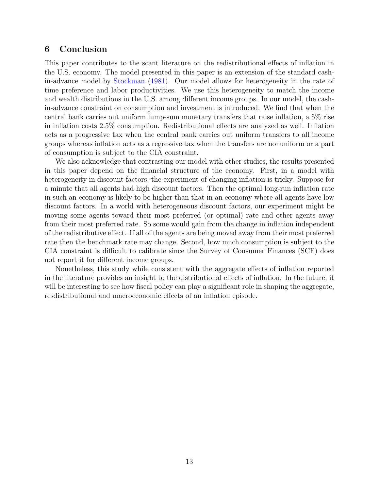#### 6 Conclusion

This paper contributes to the scant literature on the redistributional effects of inflation in the U.S. economy. The model presented in this paper is an extension of the standard cashin-advance model by Stockman (1981). Our model allows for heterogeneity in the rate of time preference and labor productivities. We use this heterogeneity to match the income and wealth distributions in the U.S. among different income groups. In our model, the cashin-advance constraint on consumption and investment is introduced. We find that when the central bank carries out uniform lump-sum monetary transfers that raise inflation, a 5% rise in inflation costs 2.5% consumption. Redistributional effects are analyzed as well. Inflation acts as a progressive tax when the central bank carries out uniform transfers to all income groups whereas inflation acts as a regressive tax when the transfers are nonuniform or a part of consumption is subject to the CIA constraint.

We also acknowledge that contrasting our model with other studies, the results presented in this paper depend on the financial structure of the economy. First, in a model with heterogeneity in discount factors, the experiment of changing inflation is tricky. Suppose for a minute that all agents had high discount factors. Then the optimal long-run inflation rate in such an economy is likely to be higher than that in an economy where all agents have low discount factors. In a world with heterogeneous discount factors, our experiment might be moving some agents toward their most preferred (or optimal) rate and other agents away from their most preferred rate. So some would gain from the change in inflation independent of the redistributive effect. If all of the agents are being moved away from their most preferred rate then the benchmark rate may change. Second, how much consumption is subject to the CIA constraint is difficult to calibrate since the Survey of Consumer Finances (SCF) does not report it for different income groups.

Nonetheless, this study while consistent with the aggregate effects of inflation reported in the literature provides an insight to the distributional effects of inflation. In the future, it will be interesting to see how fiscal policy can play a significant role in shaping the aggregate, resdistributional and macroeconomic effects of an inflation episode.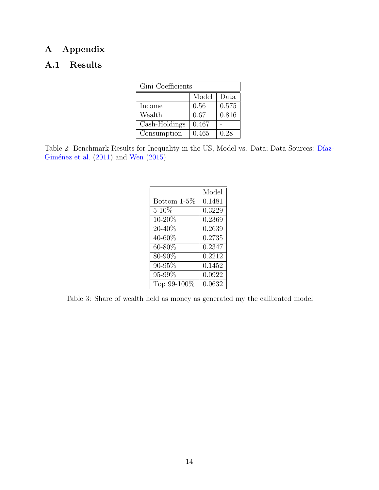# A Appendix

## A.1 Results

| Gini Coefficients |       |       |  |  |
|-------------------|-------|-------|--|--|
|                   | Model | Data  |  |  |
| Income            | 0.56  | 0.575 |  |  |
| Wealth            | 0.67  | 0.816 |  |  |
| Cash-Holdings     | 0.467 |       |  |  |
| Consumption       | 0.465 | 0.28  |  |  |

Table 2: Benchmark Results for Inequality in the US, Model vs. Data; Data Sources: Díaz-Giménez et al.  $(2011)$  and Wen  $(2015)$ 

|                | Model  |
|----------------|--------|
| Bottom $1-5\%$ | 0.1481 |
| $5 - 10\%$     | 0.3229 |
| 10-20%         | 0.2369 |
| 20-40%         | 0.2639 |
| 40-60%         | 0.2735 |
| $60 - 80\%$    | 0.2347 |
| 80-90%         | 0.2212 |
| 90-95%         | 0.1452 |
| 95-99%         | 0.0922 |
| Top 99-100%    | 0.0632 |

Table 3: Share of wealth held as money as generated my the calibrated model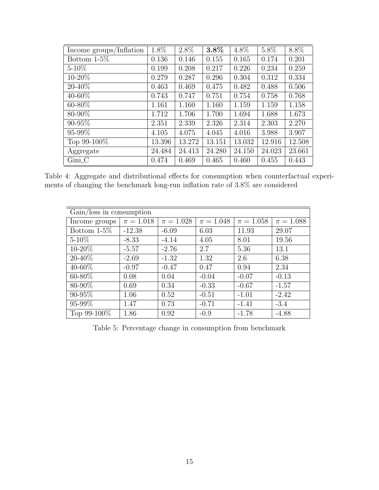| Income groups/Inflation | $1.8\%$ | $2.8\%$ | $3.8\%$ | $4.8\%$ | $5.8\%$ | $8.8\%$ |
|-------------------------|---------|---------|---------|---------|---------|---------|
| Bottom $1-5\%$          | 0.136   | 0.146   | 0.155   | 0.165   | 0.174   | 0.201   |
| $5 - 10\%$              | 0.199   | 0.208   | 0.217   | 0.226   | 0.234   | 0.259   |
| $10 - 20\%$             | 0.279   | 0.287   | 0.296   | 0.304   | 0.312   | 0.334   |
| $20 - 40\%$             | 0.463   | 0.469   | 0.475   | 0.482   | 0.488   | 0.506   |
| 40-60%                  | 0.743   | 0.747   | 0.751   | 0.754   | 0.758   | 0.768   |
| $60 - 80\%$             | 1.161   | 1.160   | 1.160   | 1.159   | 1.159   | 1.158   |
| 80-90%                  | 1.712   | 1.706   | 1.700   | 1.694   | 1.688   | 1.673   |
| 90-95%                  | 2.351   | 2.339   | 2.326   | 2.314   | 2.303   | 2.270   |
| 95-99%                  | 4.105   | 4.075   | 4.045   | 4.016   | 3.988   | 3.907   |
| Top $99-100\%$          | 13.396  | 13.272  | 13.151  | 13.032  | 12.916  | 12.508  |
| Aggregate               | 24.484  | 24.413  | 24.280  | 24.150  | 24.023  | 23.661  |
| $Gini_C$                | 0.474   | 0.469   | 0.465   | 0.460   | 0.455   | 0.443   |

Table 4: Aggregate and distributional effects for consumption when counterfactual experiments of changing the benchmark long-run inflation rate of 3.8% are considered

| $Gain/loss$ in consumption |               |               |               |               |               |  |
|----------------------------|---------------|---------------|---------------|---------------|---------------|--|
| Income groups              | $\pi = 1.018$ | $\pi = 1.028$ | $\pi = 1.048$ | $\pi = 1.058$ | $\pi = 1.088$ |  |
| Bottom $1-5\%$             | $-12.38$      | $-6.09$       | 6.03          | 11.93         | 29.07         |  |
| $5 - 10\%$                 | $-8.33$       | $-4.14$       | 4.05          | 8.01          | 19.56         |  |
| 10-20%                     | $-5.57$       | $-2.76$       | 2.7           | 5.36          | 13.1          |  |
| 20-40%                     | $-2.69$       | $-1.32$       | 1.32          | 2.6           | 6.38          |  |
| 40-60%                     | $-0.97$       | $-0.47$       | 0.47          | 0.94          | 2.34          |  |
| 60-80%                     | 0.08          | 0.04          | $-0.04$       | $-0.07$       | $-0.13$       |  |
| 80-90%                     | 0.69          | 0.34          | $-0.33$       | $-0.67$       | $-1.57$       |  |
| 90-95%                     | 1.06          | 0.52          | $-0.51$       | $-1.01$       | $-2.42$       |  |
| $95 - 99\%$                | 1.47          | 0.73          | $-0.71$       | $-1.41$       | $-3.4$        |  |
| Top $99-100\%$             | 1.86          | 0.92          | $-0.9$        | $-1.78$       | $-4.88$       |  |

Table 5: Percentage change in consumption from benchmark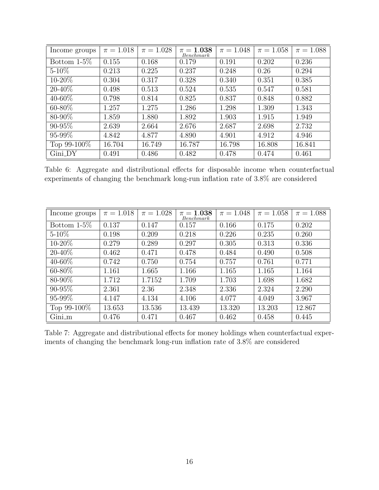| Income groups  | $\pi = 1.018$ | $\pi = 1.028$ | $\pi=1.038$<br>Benchmark | $\pi = 1.048$ | $\pi = 1.058$ | $\pi = 1.088$ |
|----------------|---------------|---------------|--------------------------|---------------|---------------|---------------|
| Bottom $1-5\%$ | 0.155         | 0.168         | 0.179                    | 0.191         | 0.202         | 0.236         |
| $5 - 10\%$     | 0.213         | 0.225         | 0.237                    | 0.248         | 0.26          | 0.294         |
| $10 - 20\%$    | 0.304         | 0.317         | 0.328                    | 0.340         | 0.351         | 0.385         |
| $20 - 40\%$    | 0.498         | 0.513         | 0.524                    | 0.535         | 0.547         | 0.581         |
| $40 - 60\%$    | 0.798         | 0.814         | 0.825                    | 0.837         | 0.848         | 0.882         |
| $60 - 80\%$    | 1.257         | 1.275         | 1.286                    | 1.298         | 1.309         | 1.343         |
| 80-90%         | 1.859         | 1.880         | 1.892                    | 1.903         | 1.915         | 1.949         |
| $90 - 95\%$    | 2.639         | 2.664         | 2.676                    | 2.687         | 2.698         | 2.732         |
| $95 - 99\%$    | 4.842         | 4.877         | 4.890                    | 4.901         | 4.912         | 4.946         |
| Top 99-100\%   | 16.704        | 16.749        | 16.787                   | 16.798        | 16.808        | 16.841        |
| $Gini_DY$      | 0.491         | 0.486         | 0.482                    | 0.478         | 0.474         | 0.461         |

Table 6: Aggregate and distributional effects for disposable income when counterfactual experiments of changing the benchmark long-run inflation rate of 3.8% are considered

| Income groups  | $\pi = 1.018$ | $\pi = 1.028$ | $\pi=1.038$<br>Benchmark | $\pi = 1.048$ | $\pi = 1.058$ | $\pi = 1.088$ |
|----------------|---------------|---------------|--------------------------|---------------|---------------|---------------|
| Bottom $1-5\%$ | 0.137         | 0.147         | 0.157                    | 0.166         | 0.175         | 0.202         |
| $5 - 10\%$     | 0.198         | 0.209         | 0.218                    | 0.226         | 0.235         | 0.260         |
| $10 - 20\%$    | 0.279         | 0.289         | 0.297                    | 0.305         | 0.313         | 0.336         |
| $20 - 40\%$    | 0.462         | 0.471         | 0.478                    | 0.484         | 0.490         | 0.508         |
| $40 - 60\%$    | 0.742         | 0.750         | 0.754                    | 0.757         | 0.761         | 0.771         |
| $60 - 80\%$    | 1.161         | 1.665         | 1.166                    | 1.165         | 1.165         | 1.164         |
| 80-90%         | 1.712         | 1.7152        | 1.709                    | 1.703         | 1.698         | 1.682         |
| $90 - 95\%$    | 2.361         | 2.36          | 2.348                    | 2.336         | 2.324         | 2.290         |
| 95-99%         | 4.147         | 4.134         | 4.106                    | 4.077         | 4.049         | 3.967         |
| Top 99-100\%   | 13.653        | 13.536        | 13.439                   | 13.320        | 13.203        | 12.867        |
| $Gini_m$       | 0.476         | 0.471         | 0.467                    | 0.462         | 0.458         | 0.445         |

Table 7: Aggregate and distributional effects for money holdings when counterfactual experiments of changing the benchmark long-run inflation rate of 3.8% are considered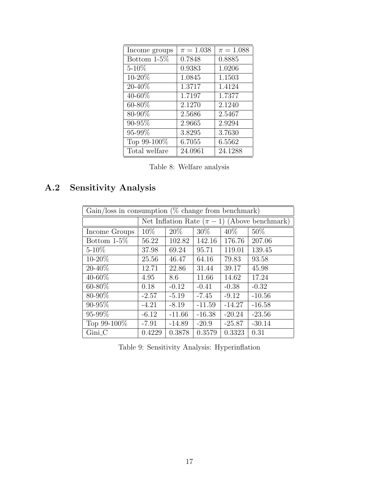| Income groups  | $\pi = 1.038$ | $\pi = 1.088$ |
|----------------|---------------|---------------|
| Bottom $1-5\%$ | 0.7848        | 0.8885        |
| $5 - 10\%$     | 0.9383        | 1.0206        |
| 10-20%         | 1.0845        | 1.1503        |
| 20-40%         | 1.3717        | 1.4124        |
| 40-60%         | 1.7197        | 1.7377        |
| 60-80%         | 2.1270        | 2.1240        |
| 80-90%         | 2.5686        | 2.5467        |
| 90-95%         | 2.9665        | 2.9294        |
| 95-99%         | 3.8295        | 3.7630        |
| Top 99-100%    | 6.7055        | 6.5562        |
| Total welfare  | 24.0961       | 24.1288       |

Table 8: Welfare analysis

# A.2 Sensitivity Analysis

| $Gain/loss$ in consumption (% change from benchmark) |                                                  |          |          |                   |          |  |  |
|------------------------------------------------------|--------------------------------------------------|----------|----------|-------------------|----------|--|--|
|                                                      | Net Inflation Rate $(\pi - 1)$ (Above benchmark) |          |          |                   |          |  |  |
| Income Groups                                        | $10\%$                                           | $20\%$   | $30\%$   | $\overline{40\%}$ | 50%      |  |  |
| Bottom $1-5\%$                                       | 56.22                                            | 102.82   | 142.16   | 176.76            | 207.06   |  |  |
| $5 - 10\%$                                           | 37.98                                            | 69.24    | 95.71    | 119.01            | 139.45   |  |  |
| $10 - 20\%$                                          | 25.56                                            | 46.47    | 64.16    | 79.83             | 93.58    |  |  |
| $20 - 40\%$                                          | 12.71                                            | 22.86    | 31.44    | 39.17             | 45.98    |  |  |
| 40-60%                                               | 4.95                                             | 8.6      | 11.66    | 14.62             | 17.24    |  |  |
| $60 - 80\%$                                          | 0.18                                             | $-0.12$  | $-0.41$  | $-0.38$           | $-0.32$  |  |  |
| $80 - 90\%$                                          | $-2.57$                                          | $-5.19$  | $-7.45$  | $-9.12$           | $-10.56$ |  |  |
| 90-95%                                               | $-4.21$                                          | $-8.19$  | $-11.59$ | $-14.27$          | $-16.58$ |  |  |
| $95 - 99\%$                                          | $-6.12$                                          | $-11.66$ | $-16.38$ | $-20.24$          | $-23.56$ |  |  |
| Top 99-100\%                                         | $-7.91$                                          | $-14.89$ | $-20.9$  | $-25.87$          | $-30.14$ |  |  |
| Gini <sub>_C</sub>                                   | 0.4229                                           | 0.3878   | 0.3579   | 0.3323            | 0.31     |  |  |

Table 9: Sensitivity Analysis: Hyperinflation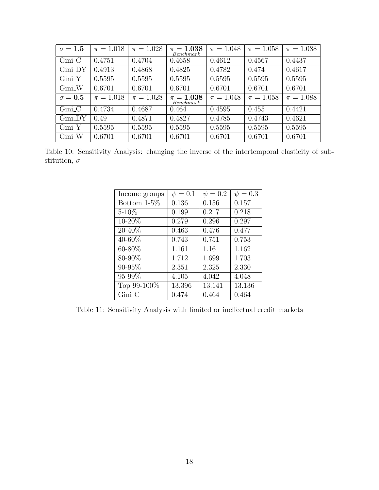| $\sigma = 1.5$ | $\pi = 1.018$ | $\pi = 1.028$ | $\pi = 1.038$<br>Benchmark | $\pi = 1.048$ | $\pi = 1.058$ | $\pi = 1.088$ |
|----------------|---------------|---------------|----------------------------|---------------|---------------|---------------|
| $Gini_C$       | 0.4751        | 0.4704        | 0.4658                     | 0.4612        | 0.4567        | 0.4437        |
| Gini_DY        | 0.4913        | 0.4868        | 0.4825                     | 0.4782        | 0.474         | 0.4617        |
| $Gini_Y$       | 0.5595        | 0.5595        | 0.5595                     | 0.5595        | 0.5595        | 0.5595        |
| $Gini_W$       | 0.6701        | 0.6701        | 0.6701                     | 0.6701        | 0.6701        | 0.6701        |
| $\sigma = 0.5$ | $\pi = 1.018$ | $\pi = 1.028$ | $\pi = 1.038$<br>Benchmark | $\pi = 1.048$ | $\pi = 1.058$ | $\pi = 1.088$ |
| $Gini_C$       | 0.4734        | 0.4687        | 0.464                      | 0.4595        | 0.455         | 0.4421        |
| Gini_DY        | 0.49          | 0.4871        | 0.4827                     | 0.4785        | 0.4743        | 0.4621        |
| $Gini_Y$       | 0.5595        | 0.5595        | 0.5595                     | 0.5595        | 0.5595        | 0.5595        |
| Gini_W         | 0.6701        | 0.6701        | 0.6701                     | 0.6701        | 0.6701        | 0.6701        |

Table 10: Sensitivity Analysis: changing the inverse of the intertemporal elasticity of substitution,  $\sigma$ 

| Income groups  | $\psi = 0.1$ | $\psi = 0.2$ | $\psi = 0.3$ |
|----------------|--------------|--------------|--------------|
| Bottom $1-5\%$ | 0.136        | 0.156        | 0.157        |
| $5 - 10\%$     | 0.199        | 0.217        | 0.218        |
| 10-20%         | 0.279        | 0.296        | 0.297        |
| 20-40%         | 0.463        | 0.476        | 0.477        |
| 40-60%         | 0.743        | 0.751        | 0.753        |
| 60-80%         | 1.161        | 1.16         | 1.162        |
| 80-90%         | 1.712        | 1.699        | 1.703        |
| 90-95%         | 2.351        | 2.325        | 2.330        |
| 95-99%         | 4.105        | 4.042        | 4.048        |
| Top 99-100%    | 13.396       | 13.141       | 13.136       |
| $Gini_C$       | 0.474        | 0.464        | 0.464        |

Table 11: Sensitivity Analysis with limited or ineffectual credit markets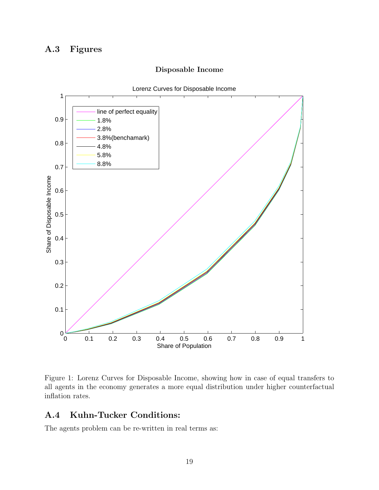## A.3 Figures





Figure 1: Lorenz Curves for Disposable Income, showing how in case of equal transfers to all agents in the economy generates a more equal distribution under higher counterfactual inflation rates.

# A.4 Kuhn-Tucker Conditions:

The agents problem can be re-written in real terms as: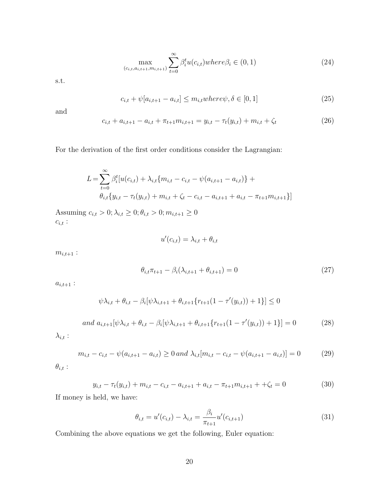$$
\max_{(c_{i,t}, a_{i,t+1}, m_{i,t+1})} \sum_{t=0}^{\infty} \beta_i^t u(c_{i,t}) \text{where} \beta_i \in (0, 1) \tag{24}
$$

s.t.

$$
c_{i,t} + \psi[a_{i,t+1} - a_{i,t}] \le m_{i,t} \text{where } \psi, \delta \in [0, 1] \tag{25}
$$

and

$$
c_{i,t} + a_{i,t+1} - a_{i,t} + \pi_{t+1} m_{i,t+1} = y_{i,t} - \tau_t(y_{i,t}) + m_{i,t} + \zeta_t
$$
\n(26)

For the derivation of the first order conditions consider the Lagrangian:

$$
L = \sum_{t=0}^{\infty} \beta_i^t [u(c_{i,t}) + \lambda_{i,t} \{m_{i,t} - c_{i,t} - \psi(a_{i,t+1} - a_{i,t})\} +
$$
  

$$
\theta_{i,t} \{y_{i,t} - \tau_t(y_{i,t}) + m_{i,t} + \zeta_t - c_{i,t} - a_{i,t+1} + a_{i,t} - \pi_{t+1} m_{i,t+1}\}]
$$

Assuming  $c_{i,t} > 0; \lambda_{i,t} \geq 0; \theta_{i,t} > 0; m_{i,t+1} \geq 0$  $c_{i,t}$  :

$$
u'(c_{i,t}) = \lambda_{i,t} + \theta_{i,t}
$$

 $m_{i,t+1}$ :

$$
\theta_{i,t}\pi_{t+1} - \beta_i(\lambda_{i,t+1} + \theta_{i,t+1}) = 0
$$
\n(27)

 $a_{i,t+1}$ :

$$
\psi \lambda_{i,t} + \theta_{i,t} - \beta_i [\psi \lambda_{i,t+1} + \theta_{i,t+1} \{ r_{t+1} (1 - \tau'(y_{i,t})) + 1 \}] \le 0
$$
  
and 
$$
a_{i,t+1} [\psi \lambda_{i,t} + \theta_{i,t} - \beta_i [\psi \lambda_{i,t+1} + \theta_{i,t+1} \{ r_{t+1} (1 - \tau'(y_{i,t})) + 1 \}] = 0
$$
 (28)

 $\lambda_{i,t}$  :

$$
m_{i,t} - c_{i,t} - \psi(a_{i,t+1} - a_{i,t}) \ge 0 \text{ and } \lambda_{i,t}[m_{i,t} - c_{i,t} - \psi(a_{i,t+1} - a_{i,t})] = 0 \tag{29}
$$

 $\theta_{i,t}$  :

$$
y_{i,t} - \tau_t(y_{i,t}) + m_{i,t} - c_{i,t} - a_{i,t+1} + a_{i,t} - \pi_{t+1}m_{i,t+1} + \zeta_t = 0 \tag{30}
$$

If money is held, we have:

$$
\theta_{i,t} = u'(c_{i,t}) - \lambda_{i,t} = \frac{\beta_i}{\pi_{t+1}} u'(c_{i,t+1})
$$
\n(31)

Combining the above equations we get the following, Euler equation: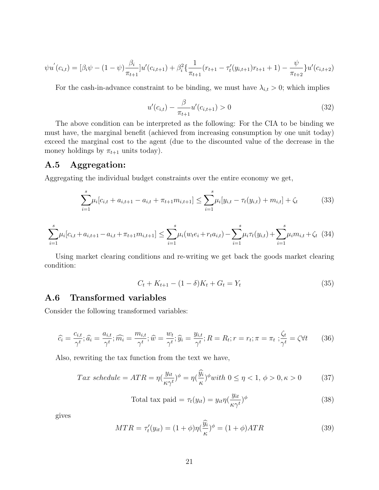$$
\psi u^{'}(c_{i,t}) = [\beta_i \psi - (1 - \psi) \frac{\beta_i}{\pi_{t+1}}] u^{'}(c_{i,t+1}) + \beta_i^2 \left\{ \frac{1}{\pi_{t+1}} (r_{t+1} - \tau'_t(y_{i,t+1}) r_{t+1} + 1) - \frac{\psi}{\pi_{t+2}} \right\} u^{'}(c_{i,t+2})
$$

For the cash-in-advance constraint to be binding, we must have  $\lambda_{i,t} > 0$ ; which implies

$$
u'(c_{i,t}) - \frac{\beta}{\pi_{t+1}} u'(c_{i,t+1}) > 0
$$
\n(32)

The above condition can be interpreted as the following: For the CIA to be binding we must have, the marginal benefit (achieved from increasing consumption by one unit today) exceed the marginal cost to the agent (due to the discounted value of the decrease in the money holdings by  $\pi_{t+1}$  units today).

### A.5 Aggregation:

Aggregating the individual budget constraints over the entire economy we get,

$$
\sum_{i=1}^{s} \mu_i [c_{i,t} + a_{i,t+1} - a_{i,t} + \pi_{t+1} m_{i,t+1}] \le \sum_{i=1}^{s} \mu_i [y_{i,t} - \pi_t (y_{i,t}) + m_{i,t}] + \zeta_t \tag{33}
$$

$$
\sum_{i=1}^{s} \mu_i [c_{i,t} + a_{i,t+1} - a_{i,t} + \pi_{t+1} m_{i,t+1}] \leq \sum_{i=1}^{s} \mu_i (w_t e_i + r_t a_{i,t}) - \sum_{i=1}^{s} \mu_i \pi_t (y_{i,t}) + \sum_{i=1}^{s} \mu_i m_{i,t} + \zeta_t
$$
(34)

Using market clearing conditions and re-writing we get back the goods market clearing condition:

$$
C_t + K_{t+1} - (1 - \delta)K_t + G_t = Y_t
$$
\n(35)

#### A.6 Transformed variables

Consider the following transformed variables:

$$
\widehat{c_i} = \frac{c_{i,t}}{\gamma^t}; \widehat{a_i} = \frac{a_{i,t}}{\gamma^t}; \widehat{m_i} = \frac{m_{i,t}}{\gamma^t}; \widehat{w} = \frac{w_t}{\gamma^t}; \widehat{y_i} = \frac{y_{i,t}}{\gamma^t}; R = R_t; r = r_t; \pi = \pi_t; \frac{\zeta_t}{\gamma^t} = \zeta \forall t
$$
\n(36)

Also, rewriting the tax function from the text we have,

$$
Tax \ schedule = ATR = \eta \left(\frac{y_{it}}{\kappa \gamma^t}\right)^{\phi} = \eta \left(\frac{\widehat{y_i}}{\kappa}\right)^{\phi} with \ 0 \le \eta < 1, \ \phi > 0, \ \kappa > 0 \tag{37}
$$

Total tax paid = 
$$
\tau_t(y_{it}) = y_{it} \eta(\frac{y_{it}}{\kappa \gamma^t})^{\phi}
$$
 (38)

gives

$$
MTR = \tau'_t(y_{it}) = (1 + \phi)\eta(\frac{\widehat{y}_i}{\kappa})^{\phi} = (1 + \phi)ATR
$$
\n(39)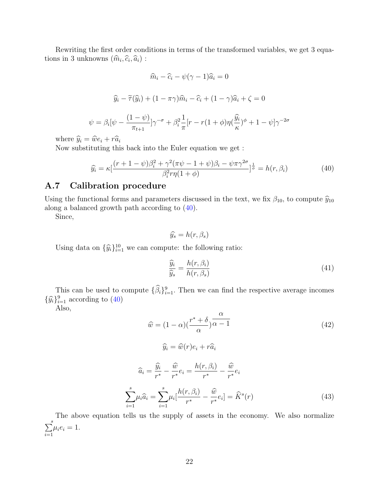Rewriting the first order conditions in terms of the transformed variables, we get 3 equations in 3 unknowns  $(\widehat{m}_i, \widehat{c}_i, \widehat{a}_i)$ :

$$
\widehat{m}_i - \widehat{c}_i - \psi(\gamma - 1)\widehat{a}_i = 0
$$

$$
\widehat{y}_i - \widetilde{\tau}(\widehat{y}_i) + (1 - \pi \gamma)\widehat{m}_i - \widehat{c}_i + (1 - \gamma)\widehat{a}_i + \zeta = 0
$$

$$
\psi = \beta_i[\psi - \frac{(1 - \psi)}{\pi_{t+1}}]\gamma^{-\sigma} + \beta_i^2 \frac{1}{\pi} [r - r(1 + \phi)\eta(\frac{\widehat{y}_i}{\kappa})^{\phi} + 1 - \psi]\gamma^{-2\sigma}
$$

where  $\hat{y}_i = \hat{w}e_i + r\hat{a}_i$ 

Now substituting this back into the Euler equation we get :

$$
\widehat{y_i} = \kappa \left[ \frac{(r+1-\psi)\beta_i^2 + \gamma^2 (\pi \psi - 1 + \psi)\beta_i - \psi \pi \gamma^{2\sigma}}{\beta_i^2 r \eta (1+\phi)} \right]^{\frac{1}{\phi}} = h(r, \beta_i)
$$
(40)

#### A.7 Calibration procedure

Using the functional forms and parameters discussed in the text, we fix  $\beta_{10}$ , to compute  $\hat{y}_{10}$ along a balanced growth path according to (40).

Since,

 $\widehat{y_s} = h(r, \beta_s)$ 

Using data on  $\{\widehat{y}_i\}_{i=1}^{10}$  we can compute: the following ratio:

 $i=1$ 

$$
\frac{\widehat{y}_i}{\widehat{y}_s} = \frac{h(r, \beta_i)}{h(r, \beta_s)}
$$
(41)

This can be used to compute  $\{\hat{\beta}_i\}_{i=1}^9$ . Then we can find the respective average incomes  $\{\widehat{y}_i\}_{i=1}^9$  according to  $(40)$ 

Also,

$$
\hat{w} = (1 - \alpha) \left(\frac{r^* + \delta}{\alpha}\right) \frac{\alpha}{\alpha - 1}
$$
\n
$$
\hat{y}_i = \hat{w}(r)e_i + r\hat{a}_i
$$
\n
$$
\hat{a}_i = \frac{\hat{y}_i}{r^*} - \frac{\hat{w}}{r^*}e_i = \frac{h(r, \beta_i)}{r^*} - \frac{\hat{w}}{r^*}e_i
$$
\n
$$
\sum_{i=1}^s \mu_i \hat{a}_i = \sum_{i=1}^s \mu_i \left[\frac{h(r, \beta_i)}{r^*} - \frac{\hat{w}}{r^*}e_i\right] = \hat{K}^s(r)
$$
\n(43)

The above equation tells us the supply of assets in the economy. We also normalize  $\overline{\nabla}^s$  $i=1$  $\mu_i e_i = 1.$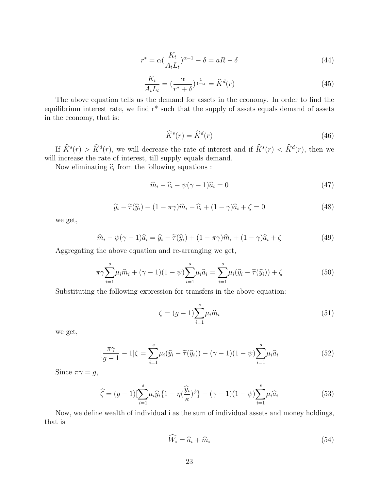$$
r^* = \alpha \left(\frac{K_t}{A_t L_t}\right)^{\alpha - 1} - \delta = aR - \delta \tag{44}
$$

$$
\frac{K_t}{A_t L_t} = \left(\frac{\alpha}{r^* + \delta}\right)^{\frac{1}{1-\alpha}} = \widehat{K}^d(r) \tag{45}
$$

The above equation tells us the demand for assets in the economy. In order to find the equilibrium interest rate, we find r\* such that the supply of assets equals demand of assets in the economy, that is:

$$
\widehat{K}^s(r) = \widehat{K}^d(r) \tag{46}
$$

If  $\hat{K}^s(r) > \hat{K}^d(r)$ , we will decrease the rate of interest and if  $\hat{K}^s(r) < \hat{K}^d(r)$ , then we will increase the rate of interest, till supply equals demand.

Now eliminating  $\hat{c}_i$  from the following equations :

$$
\widehat{m}_i - \widehat{c}_i - \psi(\gamma - 1)\widehat{a}_i = 0 \tag{47}
$$

$$
\widehat{y}_i - \widetilde{\tau}(\widehat{y}_i) + (1 - \pi \gamma)\widehat{m}_i - \widehat{c}_i + (1 - \gamma)\widehat{a}_i + \zeta = 0
$$
\n(48)

we get,

$$
\widehat{m}_i - \psi(\gamma - 1)\widehat{a}_i = \widehat{y}_i - \widetilde{\tau}(\widehat{y}_i) + (1 - \pi \gamma)\widehat{m}_i + (1 - \gamma)\widehat{a}_i + \zeta \tag{49}
$$

Aggregating the above equation and re-arranging we get,

$$
\pi \gamma \sum_{i=1}^{s} \mu_i \widehat{m}_i + (\gamma - 1)(1 - \psi) \sum_{i=1}^{s} \mu_i \widehat{a}_i = \sum_{i=1}^{s} \mu_i (\widehat{y}_i - \widetilde{\tau}(\widehat{y}_i)) + \zeta
$$
\n(50)

Substituting the following expression for transfers in the above equation:

$$
\zeta = (g-1)\sum_{i=1}^{s} \mu_i \widehat{m}_i \tag{51}
$$

we get,

$$
\left[\frac{\pi\gamma}{g-1} - 1\right]\zeta = \sum_{i=1}^{s} \mu_i(\widehat{y}_i - \widetilde{\tau}(\widehat{y}_i)) - (\gamma - 1)(1 - \psi)\sum_{i=1}^{s} \mu_i \widehat{a}_i \tag{52}
$$

Since  $\pi \gamma = g$ ,

$$
\hat{\zeta} = (g-1)[\sum_{i=1}^{s} \mu_i \hat{y}_i \{1 - \eta(\frac{\hat{y}_i}{\kappa})^{\phi}\} - (\gamma - 1)(1 - \psi)\sum_{i=1}^{s} \mu_i \hat{a}_i]
$$
(53)

Now, we define wealth of individual i as the sum of individual assets and money holdings, that is

$$
\widehat{W}_i = \widehat{a}_i + \widehat{m}_i \tag{54}
$$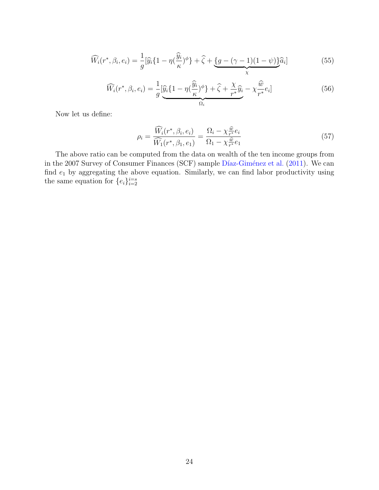$$
\widehat{W}_i(r^*, \beta_i, e_i) = \frac{1}{g} [\widehat{y}_i \{ 1 - \eta(\frac{\widehat{y}_i}{\kappa})^{\phi} \} + \widehat{\zeta} + \underbrace{\{ g - (\gamma - 1)(1 - \psi) \}}_{\chi} \widehat{a}_i]
$$
(55)

$$
\widehat{W}_i(r^*, \beta_i, e_i) = \frac{1}{g} \underbrace{\left[\widehat{y}_i \{1 - \eta(\frac{\widehat{y}_i}{\kappa})^\phi\} + \widehat{\zeta} + \frac{\chi}{r^*} \widehat{y}_i - \chi \frac{\widehat{w}}{r^*} e_i\right]}_{\Omega_i} \tag{56}
$$

Now let us define:

$$
\rho_i = \frac{\widehat{W}_i(r^*, \beta_i, e_i)}{\widehat{W}_1(r^*, \beta_1, e_1)} = \frac{\Omega_i - \chi_{r^*}^{\widehat{w}} e_i}{\Omega_1 - \chi_{r^*}^{\widehat{w}} e_1} \tag{57}
$$

The above ratio can be computed from the data on wealth of the ten income groups from in the 2007 Survey of Consumer Finances (SCF) sample Díaz-Giménez et al. (2011). We can find  $e_1$  by aggregating the above equation. Similarly, we can find labor productivity using the same equation for  $\{e_i\}_{i=2}^{i=s}$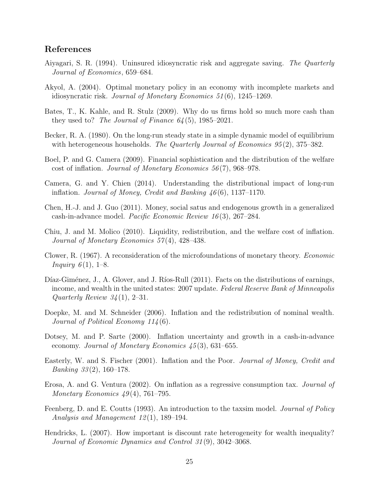#### References

- Aiyagari, S. R. (1994). Uninsured idiosyncratic risk and aggregate saving. The Quarterly Journal of Economics, 659–684.
- Akyol, A. (2004). Optimal monetary policy in an economy with incomplete markets and idiosyncratic risk. Journal of Monetary Economics 51 (6), 1245–1269.
- Bates, T., K. Kahle, and R. Stulz (2009). Why do us firms hold so much more cash than they used to? The Journal of Finance  $64(5)$ , 1985–2021.
- Becker, R. A. (1980). On the long-run steady state in a simple dynamic model of equilibrium with heterogeneous households. The Quarterly Journal of Economics  $95(2)$ , 375–382.
- Boel, P. and G. Camera (2009). Financial sophistication and the distribution of the welfare cost of inflation. Journal of Monetary Economics 56 (7), 968–978.
- Camera, G. and Y. Chien (2014). Understanding the distributional impact of long-run inflation. Journal of Money, Credit and Banking  $46(6)$ , 1137–1170.
- Chen, H.-J. and J. Guo (2011). Money, social satus and endogenous growth in a generalized cash-in-advance model. Pacific Economic Review 16 (3), 267–284.
- Chiu, J. and M. Molico (2010). Liquidity, redistribution, and the welfare cost of inflation. Journal of Monetary Economics 57(4), 428–438.
- Clower, R. (1967). A reconsideration of the microfoundations of monetary theory. Economic *Inquiry*  $6(1)$ , 1–8.
- Díaz-Giménez, J., A. Glover, and J. Ríos-Rull (2011). Facts on the distributions of earnings, income, and wealth in the united states: 2007 update. Federal Reserve Bank of Minneapolis Quarterly Review  $34(1)$ , 2–31.
- Doepke, M. and M. Schneider (2006). Inflation and the redistribution of nominal wealth. Journal of Political Economy 114 (6).
- Dotsey, M. and P. Sarte (2000). Inflation uncertainty and growth in a cash-in-advance economy. Journal of Monetary Economics 45 (3), 631–655.
- Easterly, W. and S. Fischer (2001). Inflation and the Poor. Journal of Money, Credit and *Banking*  $33(2)$ , 160–178.
- Erosa, A. and G. Ventura (2002). On inflation as a regressive consumption tax. Journal of Monetary Economics  $49(4)$ , 761–795.
- Feenberg, D. and E. Coutts (1993). An introduction to the taxsim model. Journal of Policy Analysis and Management 12(1), 189–194.
- Hendricks, L. (2007). How important is discount rate heterogeneity for wealth inequality? Journal of Economic Dynamics and Control 31 (9), 3042–3068.